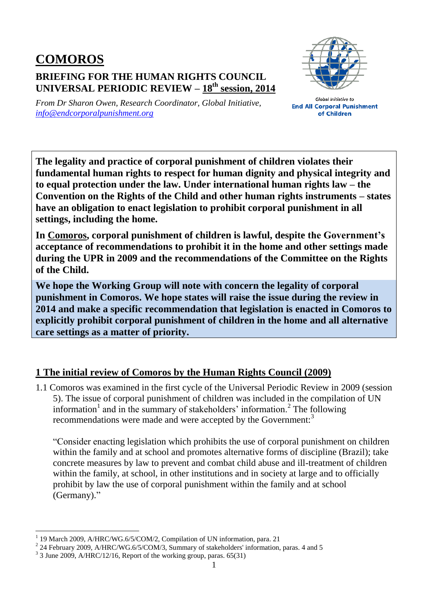## **COMOROS BRIEFING FOR THE HUMAN RIGHTS COUNCIL UNIVERSAL PERIODIC REVIEW – 18 th session, 2014**



*From Dr Sharon Owen, Research Coordinator, Global Initiative, [info@endcorporalpunishment.org](mailto:info@endcorporalpunishment.org)*

**Global Initiative to End All Corporal Punishment** of Children

**The legality and practice of corporal punishment of children violates their fundamental human rights to respect for human dignity and physical integrity and to equal protection under the law. Under international human rights law – the Convention on the Rights of the Child and other human rights instruments – states have an obligation to enact legislation to prohibit corporal punishment in all settings, including the home.**

**In Comoros, corporal punishment of children is lawful, despite the Government's acceptance of recommendations to prohibit it in the home and other settings made during the UPR in 2009 and the recommendations of the Committee on the Rights of the Child.**

**We hope the Working Group will note with concern the legality of corporal punishment in Comoros. We hope states will raise the issue during the review in 2014 and make a specific recommendation that legislation is enacted in Comoros to explicitly prohibit corporal punishment of children in the home and all alternative care settings as a matter of priority.**

## **1 The initial review of Comoros by the Human Rights Council (2009)**

1.1 Comoros was examined in the first cycle of the Universal Periodic Review in 2009 (session 5). The issue of corporal punishment of children was included in the compilation of UN information<sup>1</sup> and in the summary of stakeholders' information.<sup>2</sup> The following recommendations were made and were accepted by the Government:<sup>3</sup>

"Consider enacting legislation which prohibits the use of corporal punishment on children within the family and at school and promotes alternative forms of discipline (Brazil); take concrete measures by law to prevent and combat child abuse and ill-treatment of children within the family, at school, in other institutions and in society at large and to officially prohibit by law the use of corporal punishment within the family and at school (Germany)."

 $\overline{a}$ 1 19 March 2009, A/HRC/WG.6/5/COM/2, Compilation of UN information, para. 21

<sup>&</sup>lt;sup>2</sup> 24 February 2009, A/HRC/WG.6/5/COM/3, Summary of stakeholders' information, paras. 4 and 5

 $3$  3 June 2009, A/HRC/12/16, Report of the working group, paras. 65(31)